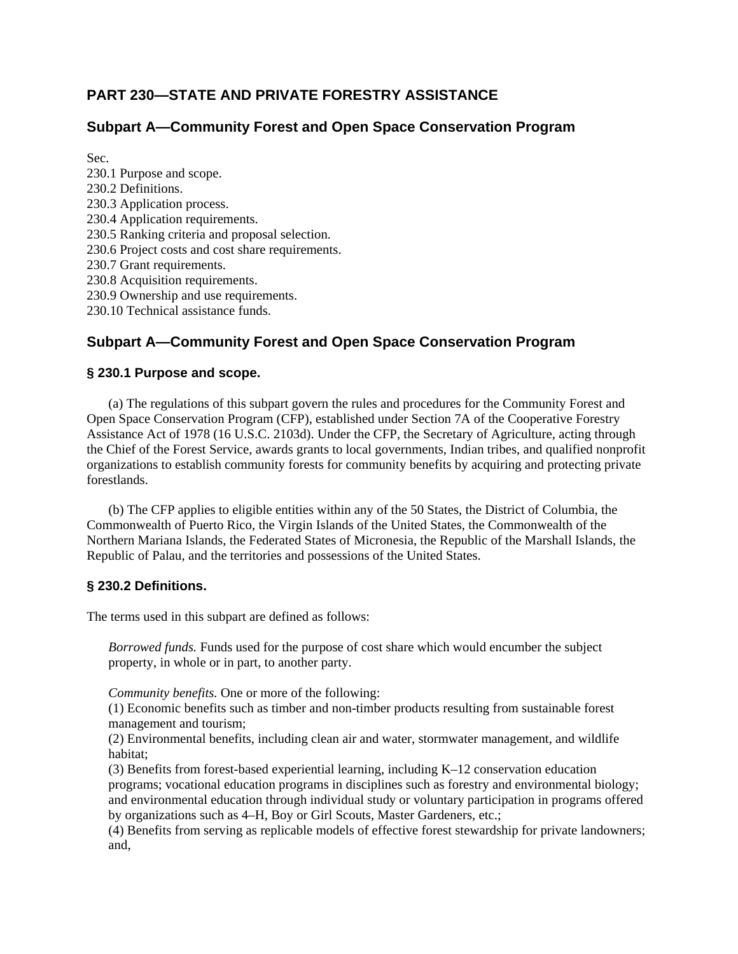# **PART 230—STATE AND PRIVATE FORESTRY ASSISTANCE**

## **Subpart A—Community Forest and Open Space Conservation Program**

Sec. 230.1 Purpose and scope. 230.2 Definitions. 230.3 Application process. 230.4 Application requirements. 230.5 Ranking criteria and proposal selection. 230.6 Project costs and cost share requirements. 230.7 Grant requirements. 230.8 Acquisition requirements. 230.9 Ownership and use requirements. 230.10 Technical assistance funds.

# **Subpart A—Community Forest and Open Space Conservation Program**

#### **§ 230.1 Purpose and scope.**

(a) The regulations of this subpart govern the rules and procedures for the Community Forest and Open Space Conservation Program (CFP), established under Section 7A of the Cooperative Forestry Assistance Act of 1978 (16 U.S.C. 2103d). Under the CFP, the Secretary of Agriculture, acting through the Chief of the Forest Service, awards grants to local governments, Indian tribes, and qualified nonprofit organizations to establish community forests for community benefits by acquiring and protecting private forestlands.

(b) The CFP applies to eligible entities within any of the 50 States, the District of Columbia, the Commonwealth of Puerto Rico, the Virgin Islands of the United States, the Commonwealth of the Northern Mariana Islands, the Federated States of Micronesia, the Republic of the Marshall Islands, the Republic of Palau, and the territories and possessions of the United States.

#### **§ 230.2 Definitions.**

The terms used in this subpart are defined as follows:

*Borrowed funds.* Funds used for the purpose of cost share which would encumber the subject property, in whole or in part, to another party.

*Community benefits.* One or more of the following:

(1) Economic benefits such as timber and non-timber products resulting from sustainable forest management and tourism;

(2) Environmental benefits, including clean air and water, stormwater management, and wildlife habitat;

(3) Benefits from forest-based experiential learning, including K–12 conservation education programs; vocational education programs in disciplines such as forestry and environmental biology; and environmental education through individual study or voluntary participation in programs offered by organizations such as 4–H, Boy or Girl Scouts, Master Gardeners, etc.;

(4) Benefits from serving as replicable models of effective forest stewardship for private landowners; and,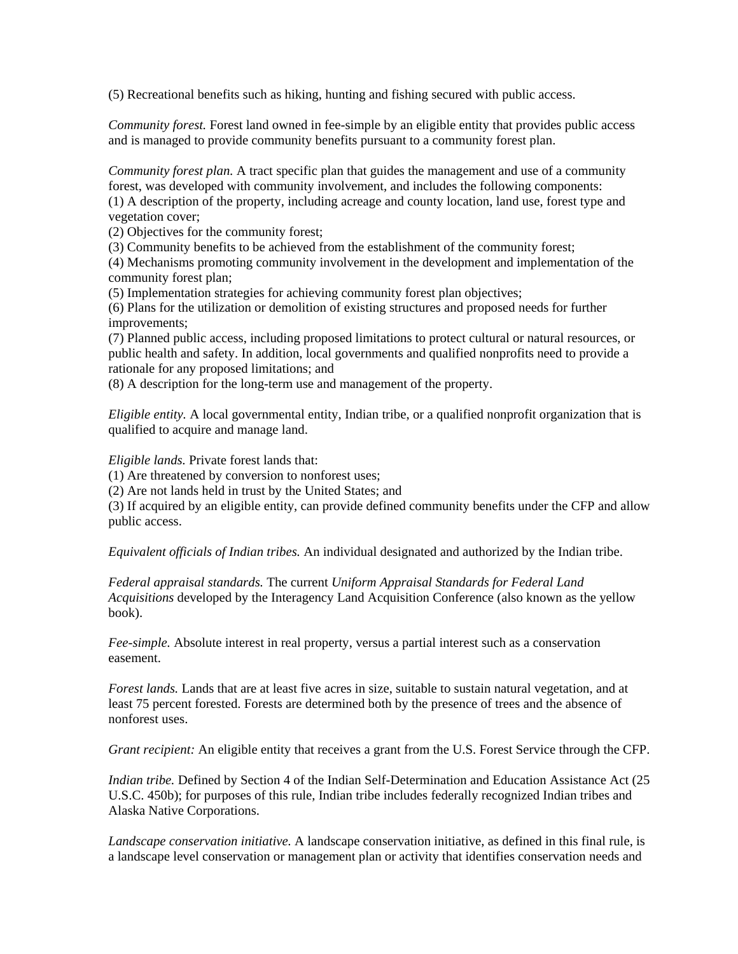(5) Recreational benefits such as hiking, hunting and fishing secured with public access.

*Community forest.* Forest land owned in fee-simple by an eligible entity that provides public access and is managed to provide community benefits pursuant to a community forest plan.

*Community forest plan.* A tract specific plan that guides the management and use of a community forest, was developed with community involvement, and includes the following components: (1) A description of the property, including acreage and county location, land use, forest type and vegetation cover;

(2) Objectives for the community forest;

(3) Community benefits to be achieved from the establishment of the community forest;

(4) Mechanisms promoting community involvement in the development and implementation of the community forest plan;

(5) Implementation strategies for achieving community forest plan objectives;

(6) Plans for the utilization or demolition of existing structures and proposed needs for further improvements;

(7) Planned public access, including proposed limitations to protect cultural or natural resources, or public health and safety. In addition, local governments and qualified nonprofits need to provide a rationale for any proposed limitations; and

(8) A description for the long-term use and management of the property.

*Eligible entity.* A local governmental entity, Indian tribe, or a qualified nonprofit organization that is qualified to acquire and manage land.

*Eligible lands.* Private forest lands that:

(1) Are threatened by conversion to nonforest uses;

(2) Are not lands held in trust by the United States; and

(3) If acquired by an eligible entity, can provide defined community benefits under the CFP and allow public access.

*Equivalent officials of Indian tribes.* An individual designated and authorized by the Indian tribe.

*Federal appraisal standards.* The current *Uniform Appraisal Standards for Federal Land Acquisitions* developed by the Interagency Land Acquisition Conference (also known as the yellow book).

*Fee-simple.* Absolute interest in real property, versus a partial interest such as a conservation easement.

*Forest lands.* Lands that are at least five acres in size, suitable to sustain natural vegetation, and at least 75 percent forested. Forests are determined both by the presence of trees and the absence of nonforest uses.

*Grant recipient:* An eligible entity that receives a grant from the U.S. Forest Service through the CFP.

*Indian tribe.* Defined by Section 4 of the Indian Self-Determination and Education Assistance Act (25 U.S.C. 450b); for purposes of this rule, Indian tribe includes federally recognized Indian tribes and Alaska Native Corporations.

*Landscape conservation initiative.* A landscape conservation initiative, as defined in this final rule, is a landscape level conservation or management plan or activity that identifies conservation needs and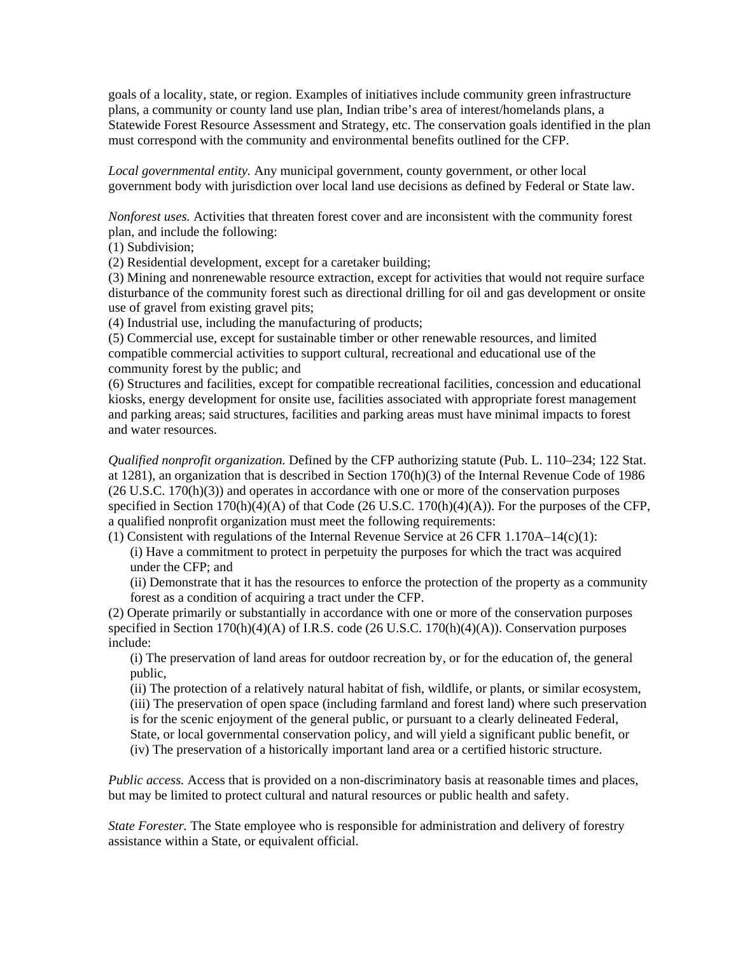goals of a locality, state, or region. Examples of initiatives include community green infrastructure plans, a community or county land use plan, Indian tribe's area of interest/homelands plans, a Statewide Forest Resource Assessment and Strategy, etc. The conservation goals identified in the plan must correspond with the community and environmental benefits outlined for the CFP.

*Local governmental entity.* Any municipal government, county government, or other local government body with jurisdiction over local land use decisions as defined by Federal or State law.

*Nonforest uses.* Activities that threaten forest cover and are inconsistent with the community forest plan, and include the following:

(1) Subdivision;

(2) Residential development, except for a caretaker building;

(3) Mining and nonrenewable resource extraction, except for activities that would not require surface disturbance of the community forest such as directional drilling for oil and gas development or onsite use of gravel from existing gravel pits;

(4) Industrial use, including the manufacturing of products;

(5) Commercial use, except for sustainable timber or other renewable resources, and limited compatible commercial activities to support cultural, recreational and educational use of the community forest by the public; and

(6) Structures and facilities, except for compatible recreational facilities, concession and educational kiosks, energy development for onsite use, facilities associated with appropriate forest management and parking areas; said structures, facilities and parking areas must have minimal impacts to forest and water resources.

*Qualified nonprofit organization.* Defined by the CFP authorizing statute (Pub. L. 110–234; 122 Stat. at 1281), an organization that is described in Section 170(h)(3) of the Internal Revenue Code of 1986 (26 U.S.C. 170(h)(3)) and operates in accordance with one or more of the conservation purposes specified in Section  $170(h)(4)(A)$  of that Code (26 U.S.C.  $170(h)(4)(A)$ ). For the purposes of the CFP, a qualified nonprofit organization must meet the following requirements:

(1) Consistent with regulations of the Internal Revenue Service at 26 CFR 1.170A–14(c)(1):

(i) Have a commitment to protect in perpetuity the purposes for which the tract was acquired under the CFP; and

(ii) Demonstrate that it has the resources to enforce the protection of the property as a community forest as a condition of acquiring a tract under the CFP.

(2) Operate primarily or substantially in accordance with one or more of the conservation purposes specified in Section 170(h)(4)(A) of I.R.S. code (26 U.S.C. 170(h)(4)(A)). Conservation purposes include:

(i) The preservation of land areas for outdoor recreation by, or for the education of, the general public,

(ii) The protection of a relatively natural habitat of fish, wildlife, or plants, or similar ecosystem, (iii) The preservation of open space (including farmland and forest land) where such preservation is for the scenic enjoyment of the general public, or pursuant to a clearly delineated Federal, State, or local governmental conservation policy, and will yield a significant public benefit, or (iv) The preservation of a historically important land area or a certified historic structure.

*Public access.* Access that is provided on a non-discriminatory basis at reasonable times and places, but may be limited to protect cultural and natural resources or public health and safety.

*State Forester.* The State employee who is responsible for administration and delivery of forestry assistance within a State, or equivalent official.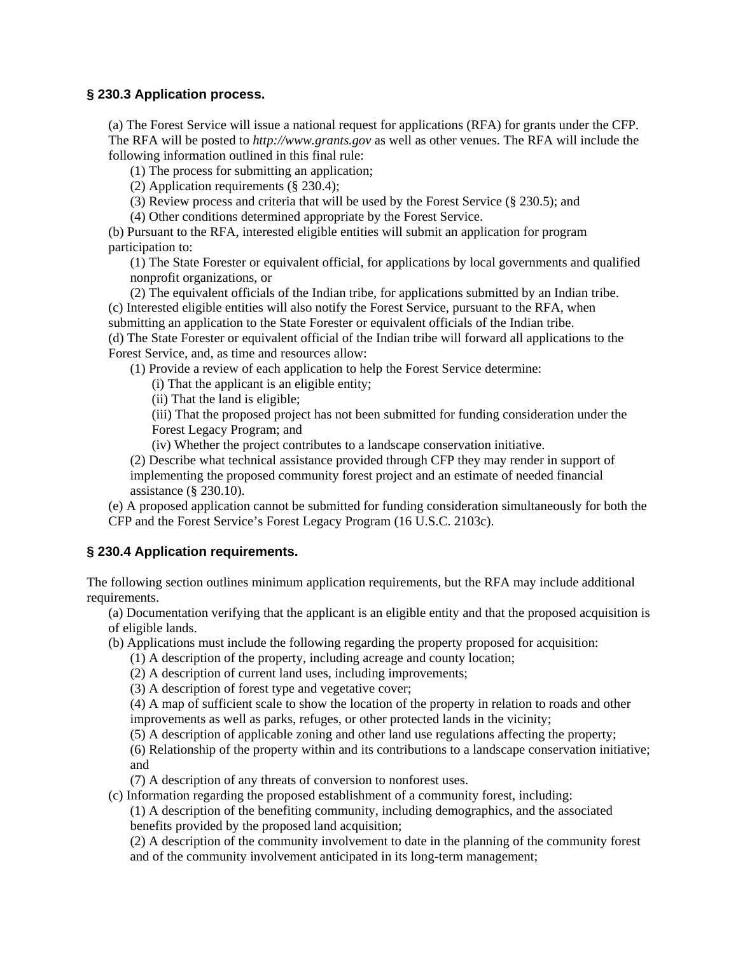## **§ 230.3 Application process.**

(a) The Forest Service will issue a national request for applications (RFA) for grants under the CFP. The RFA will be posted to *http://www.grants.gov* as well as other venues. The RFA will include the following information outlined in this final rule:

(1) The process for submitting an application;

(2) Application requirements (§ 230.4);

(3) Review process and criteria that will be used by the Forest Service (§ 230.5); and

(4) Other conditions determined appropriate by the Forest Service.

(b) Pursuant to the RFA, interested eligible entities will submit an application for program participation to:

(1) The State Forester or equivalent official, for applications by local governments and qualified nonprofit organizations, or

(2) The equivalent officials of the Indian tribe, for applications submitted by an Indian tribe. (c) Interested eligible entities will also notify the Forest Service, pursuant to the RFA, when submitting an application to the State Forester or equivalent officials of the Indian tribe. (d) The State Forester or equivalent official of the Indian tribe will forward all applications to the

Forest Service, and, as time and resources allow:

(1) Provide a review of each application to help the Forest Service determine:

(i) That the applicant is an eligible entity;

(ii) That the land is eligible;

(iii) That the proposed project has not been submitted for funding consideration under the Forest Legacy Program; and

(iv) Whether the project contributes to a landscape conservation initiative.

(2) Describe what technical assistance provided through CFP they may render in support of implementing the proposed community forest project and an estimate of needed financial assistance (§ 230.10).

(e) A proposed application cannot be submitted for funding consideration simultaneously for both the CFP and the Forest Service's Forest Legacy Program (16 U.S.C. 2103c).

## **§ 230.4 Application requirements.**

The following section outlines minimum application requirements, but the RFA may include additional requirements.

(a) Documentation verifying that the applicant is an eligible entity and that the proposed acquisition is of eligible lands.

- (b) Applications must include the following regarding the property proposed for acquisition:
	- (1) A description of the property, including acreage and county location;
	- (2) A description of current land uses, including improvements;
	- (3) A description of forest type and vegetative cover;

(4) A map of sufficient scale to show the location of the property in relation to roads and other improvements as well as parks, refuges, or other protected lands in the vicinity;

(5) A description of applicable zoning and other land use regulations affecting the property;

(6) Relationship of the property within and its contributions to a landscape conservation initiative; and

(7) A description of any threats of conversion to nonforest uses.

(c) Information regarding the proposed establishment of a community forest, including:

(1) A description of the benefiting community, including demographics, and the associated benefits provided by the proposed land acquisition;

(2) A description of the community involvement to date in the planning of the community forest and of the community involvement anticipated in its long-term management;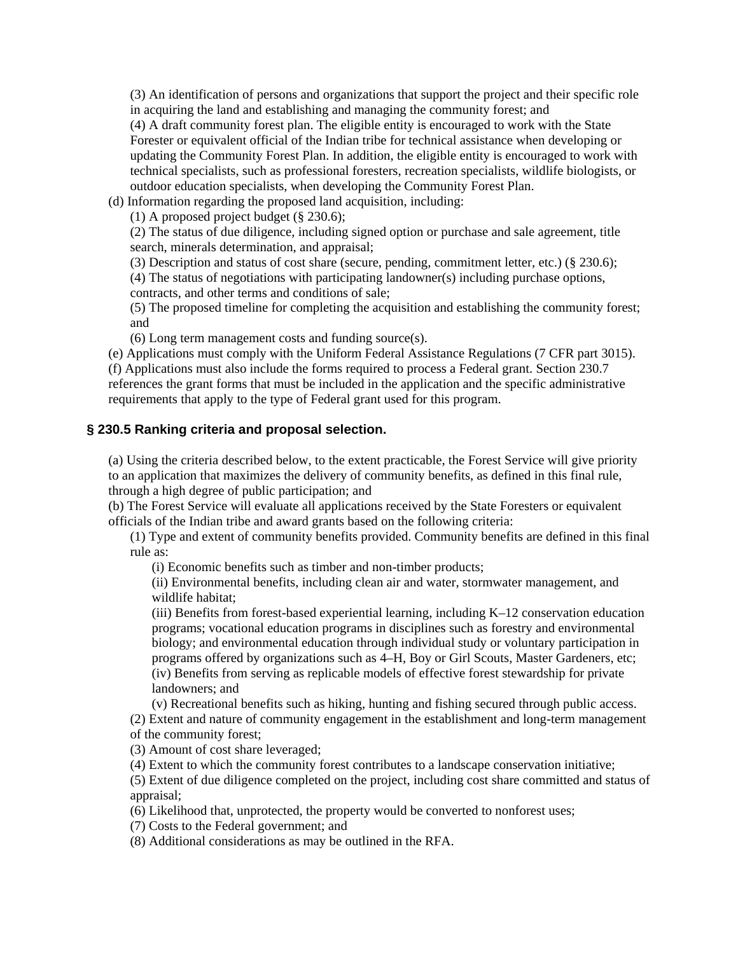(3) An identification of persons and organizations that support the project and their specific role in acquiring the land and establishing and managing the community forest; and (4) A draft community forest plan. The eligible entity is encouraged to work with the State Forester or equivalent official of the Indian tribe for technical assistance when developing or updating the Community Forest Plan. In addition, the eligible entity is encouraged to work with technical specialists, such as professional foresters, recreation specialists, wildlife biologists, or outdoor education specialists, when developing the Community Forest Plan.

(d) Information regarding the proposed land acquisition, including:

(1) A proposed project budget (§ 230.6);

(2) The status of due diligence, including signed option or purchase and sale agreement, title search, minerals determination, and appraisal;

(3) Description and status of cost share (secure, pending, commitment letter, etc.) (§ 230.6);

(4) The status of negotiations with participating landowner(s) including purchase options, contracts, and other terms and conditions of sale;

(5) The proposed timeline for completing the acquisition and establishing the community forest; and

(6) Long term management costs and funding source(s).

(e) Applications must comply with the Uniform Federal Assistance Regulations (7 CFR part 3015). (f) Applications must also include the forms required to process a Federal grant. Section 230.7 references the grant forms that must be included in the application and the specific administrative requirements that apply to the type of Federal grant used for this program.

## **§ 230.5 Ranking criteria and proposal selection.**

(a) Using the criteria described below, to the extent practicable, the Forest Service will give priority to an application that maximizes the delivery of community benefits, as defined in this final rule, through a high degree of public participation; and

(b) The Forest Service will evaluate all applications received by the State Foresters or equivalent officials of the Indian tribe and award grants based on the following criteria:

(1) Type and extent of community benefits provided. Community benefits are defined in this final rule as:

(i) Economic benefits such as timber and non-timber products;

(ii) Environmental benefits, including clean air and water, stormwater management, and wildlife habitat;

(iii) Benefits from forest-based experiential learning, including K–12 conservation education programs; vocational education programs in disciplines such as forestry and environmental biology; and environmental education through individual study or voluntary participation in programs offered by organizations such as 4–H, Boy or Girl Scouts, Master Gardeners, etc; (iv) Benefits from serving as replicable models of effective forest stewardship for private landowners; and

(v) Recreational benefits such as hiking, hunting and fishing secured through public access.

(2) Extent and nature of community engagement in the establishment and long-term management of the community forest;

(3) Amount of cost share leveraged;

(4) Extent to which the community forest contributes to a landscape conservation initiative;

(5) Extent of due diligence completed on the project, including cost share committed and status of appraisal;

(6) Likelihood that, unprotected, the property would be converted to nonforest uses;

(7) Costs to the Federal government; and

(8) Additional considerations as may be outlined in the RFA.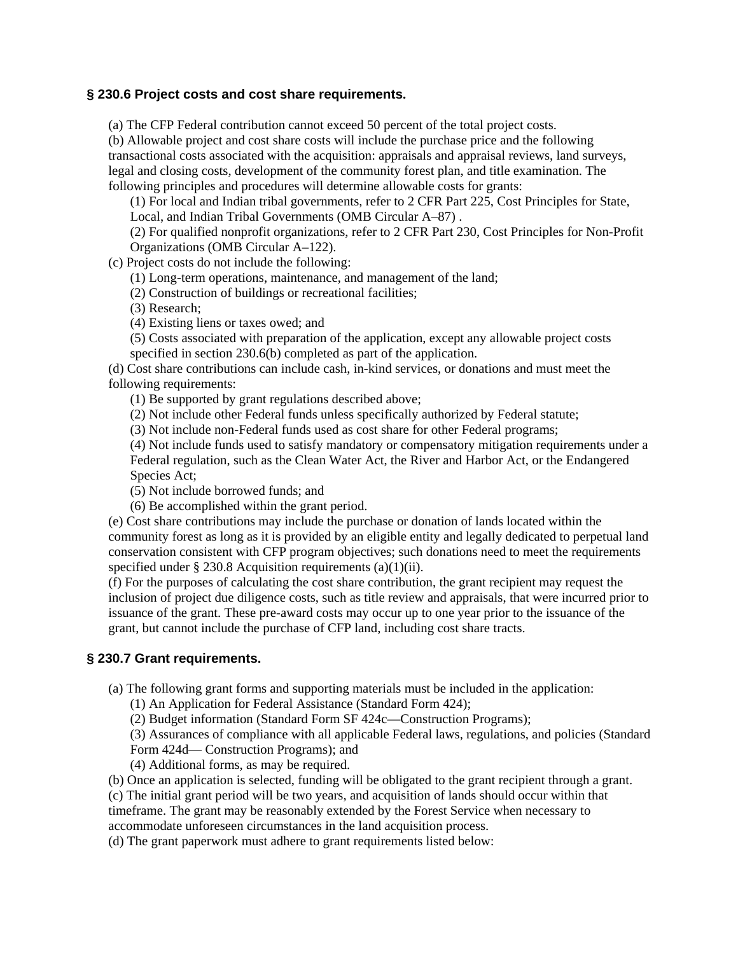#### **§ 230.6 Project costs and cost share requirements.**

(a) The CFP Federal contribution cannot exceed 50 percent of the total project costs.

(b) Allowable project and cost share costs will include the purchase price and the following transactional costs associated with the acquisition: appraisals and appraisal reviews, land surveys, legal and closing costs, development of the community forest plan, and title examination. The following principles and procedures will determine allowable costs for grants:

(1) For local and Indian tribal governments, refer to 2 CFR Part 225, Cost Principles for State, Local, and Indian Tribal Governments (OMB Circular A–87) .

(2) For qualified nonprofit organizations, refer to 2 CFR Part 230, Cost Principles for Non-Profit Organizations (OMB Circular A–122).

(c) Project costs do not include the following:

(1) Long-term operations, maintenance, and management of the land;

(2) Construction of buildings or recreational facilities;

(3) Research;

(4) Existing liens or taxes owed; and

(5) Costs associated with preparation of the application, except any allowable project costs specified in section 230.6(b) completed as part of the application.

(d) Cost share contributions can include cash, in-kind services, or donations and must meet the following requirements:

(1) Be supported by grant regulations described above;

(2) Not include other Federal funds unless specifically authorized by Federal statute;

(3) Not include non-Federal funds used as cost share for other Federal programs;

(4) Not include funds used to satisfy mandatory or compensatory mitigation requirements under a Federal regulation, such as the Clean Water Act, the River and Harbor Act, or the Endangered Species Act;

(5) Not include borrowed funds; and

(6) Be accomplished within the grant period.

(e) Cost share contributions may include the purchase or donation of lands located within the community forest as long as it is provided by an eligible entity and legally dedicated to perpetual land conservation consistent with CFP program objectives; such donations need to meet the requirements specified under  $\S 230.8$  Acquisition requirements (a)(1)(ii).

(f) For the purposes of calculating the cost share contribution, the grant recipient may request the inclusion of project due diligence costs, such as title review and appraisals, that were incurred prior to issuance of the grant. These pre-award costs may occur up to one year prior to the issuance of the grant, but cannot include the purchase of CFP land, including cost share tracts.

## **§ 230.7 Grant requirements.**

(a) The following grant forms and supporting materials must be included in the application:

(1) An Application for Federal Assistance (Standard Form 424);

(2) Budget information (Standard Form SF 424c—Construction Programs);

(3) Assurances of compliance with all applicable Federal laws, regulations, and policies (Standard Form 424d— Construction Programs); and

(4) Additional forms, as may be required.

(b) Once an application is selected, funding will be obligated to the grant recipient through a grant.

(c) The initial grant period will be two years, and acquisition of lands should occur within that

timeframe. The grant may be reasonably extended by the Forest Service when necessary to accommodate unforeseen circumstances in the land acquisition process.

(d) The grant paperwork must adhere to grant requirements listed below: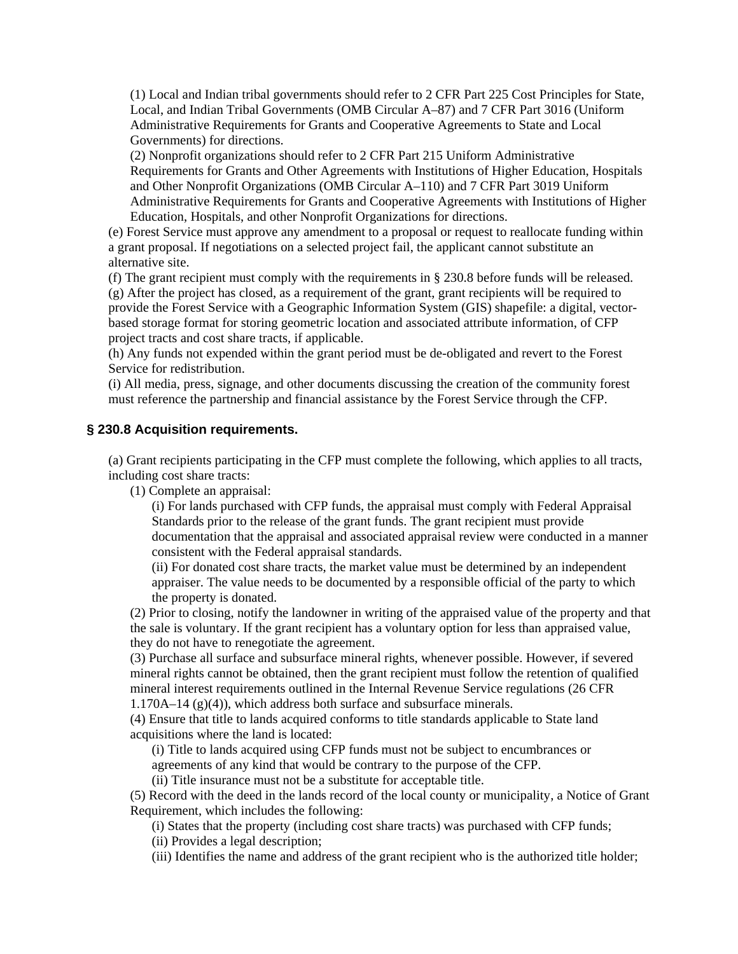(1) Local and Indian tribal governments should refer to 2 CFR Part 225 Cost Principles for State, Local, and Indian Tribal Governments (OMB Circular A–87) and 7 CFR Part 3016 (Uniform Administrative Requirements for Grants and Cooperative Agreements to State and Local Governments) for directions.

(2) Nonprofit organizations should refer to 2 CFR Part 215 Uniform Administrative Requirements for Grants and Other Agreements with Institutions of Higher Education, Hospitals and Other Nonprofit Organizations (OMB Circular A–110) and 7 CFR Part 3019 Uniform Administrative Requirements for Grants and Cooperative Agreements with Institutions of Higher Education, Hospitals, and other Nonprofit Organizations for directions.

(e) Forest Service must approve any amendment to a proposal or request to reallocate funding within a grant proposal. If negotiations on a selected project fail, the applicant cannot substitute an alternative site.

(f) The grant recipient must comply with the requirements in § 230.8 before funds will be released. (g) After the project has closed, as a requirement of the grant, grant recipients will be required to provide the Forest Service with a Geographic Information System (GIS) shapefile: a digital, vectorbased storage format for storing geometric location and associated attribute information, of CFP project tracts and cost share tracts, if applicable.

(h) Any funds not expended within the grant period must be de-obligated and revert to the Forest Service for redistribution.

(i) All media, press, signage, and other documents discussing the creation of the community forest must reference the partnership and financial assistance by the Forest Service through the CFP.

#### **§ 230.8 Acquisition requirements.**

(a) Grant recipients participating in the CFP must complete the following, which applies to all tracts, including cost share tracts:

(1) Complete an appraisal:

(i) For lands purchased with CFP funds, the appraisal must comply with Federal Appraisal Standards prior to the release of the grant funds. The grant recipient must provide documentation that the appraisal and associated appraisal review were conducted in a manner consistent with the Federal appraisal standards.

(ii) For donated cost share tracts, the market value must be determined by an independent appraiser. The value needs to be documented by a responsible official of the party to which the property is donated.

(2) Prior to closing, notify the landowner in writing of the appraised value of the property and that the sale is voluntary. If the grant recipient has a voluntary option for less than appraised value, they do not have to renegotiate the agreement.

(3) Purchase all surface and subsurface mineral rights, whenever possible. However, if severed mineral rights cannot be obtained, then the grant recipient must follow the retention of qualified mineral interest requirements outlined in the Internal Revenue Service regulations (26 CFR 1.170A–14 (g)(4)), which address both surface and subsurface minerals.

(4) Ensure that title to lands acquired conforms to title standards applicable to State land acquisitions where the land is located:

(i) Title to lands acquired using CFP funds must not be subject to encumbrances or agreements of any kind that would be contrary to the purpose of the CFP.

(ii) Title insurance must not be a substitute for acceptable title.

(5) Record with the deed in the lands record of the local county or municipality, a Notice of Grant Requirement, which includes the following:

(i) States that the property (including cost share tracts) was purchased with CFP funds;

(ii) Provides a legal description;

(iii) Identifies the name and address of the grant recipient who is the authorized title holder;